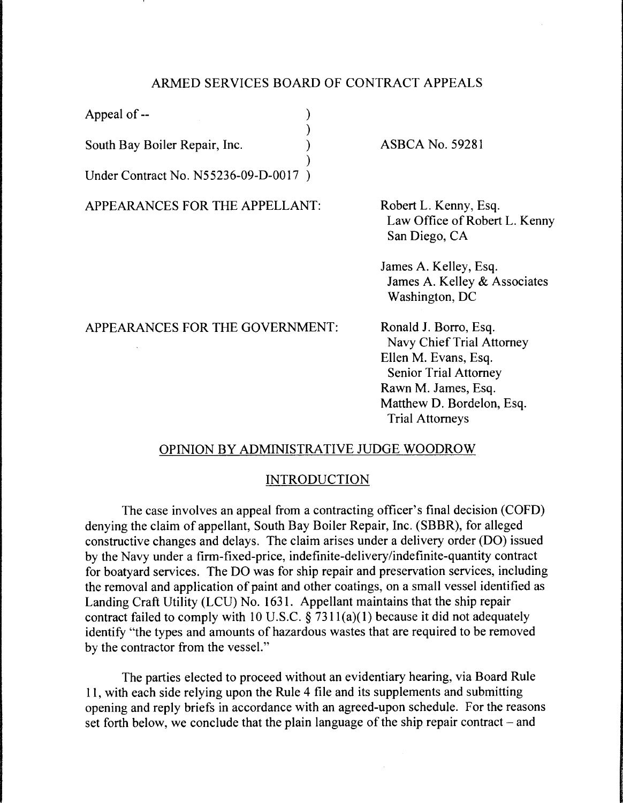# ARMED SERVICES BOARD OF CONTRACT APPEALS

)

)

Appeal of -- (a)

South Bay Boiler Repair, Inc. )

Under Contract No. N55236-09-D-0017 )

APPEARANCES FOR THE APPELLANT:

ASBCA No. 59281

Robert L. Kenny, Esq. Law Office of Robert L. Kenny San Diego, CA

James A. Kelley, Esq. James A. Kelley & Associates Washington, DC

APPEARANCES FOR THE GOVERNMENT:

Ronald J. Borro, Esq. Navy Chief Trial Attorney Ellen M. Evans, Esq. Senior Trial Attorney Rawn M. James, Esq. Matthew D. Bordelon, Esq. Trial Attorneys

## OPINION BY ADMINISTRATIVE JUDGE WOODROW

## INTRODUCTION

The case involves an appeal from a contracting officer's final decision (COFD) denying the claim of appellant, South Bay Boiler Repair, Inc. (SBBR), for alleged constructive changes and delays. The claim arises under a delivery order (DO) issued by the Navy under a firm-fixed-price, indefinite-delivery/indefinite-quantity contract for boatyard services. The DO was for ship repair and preservation services, including the removal and application of paint and other coatings, on a small vessel identified as Landing Craft Utility (LCU) No. 1631. Appellant maintains that the ship repair contract failed to comply with 10 U.S.C.  $\S 7311(a)(1)$  because it did not adequately identify "the types and amounts of hazardous wastes that are required to be removed by the contractor from the vessel."

The parties elected to proceed without an evidentiary hearing, via Board Rule 11, with each side relying upon the Rule 4 file and its supplements and submitting opening and reply briefs in accordance with an agreed-upon schedule. For the reasons set forth below, we conclude that the plain language of the ship repair contract  $-$  and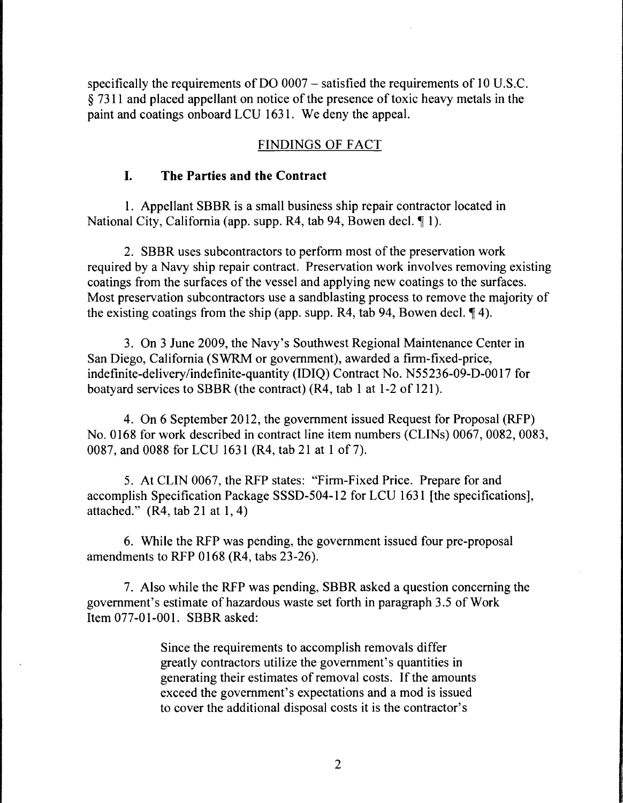specifically the requirements of DO 0007 – satisfied the requirements of 10 U.S.C. § 7311 and placed appellant on notice of the presence of toxic heavy metals in the paint and coatings onboard LCU 1631. We deny the appeal.

# FINDINGS OF FACT

# **I. The Parties and the Contract**

1. Appellant SBBR is a small business ship repair contractor located in National City, California (app. supp. R4, tab 94, Bowen decl. 11).

2. SBBR uses subcontractors to perform most of the preservation work required by a Navy ship repair contract. Preservation work involves removing existing coatings from the surfaces of the vessel and applying new coatings to the surfaces. Most preservation subcontractors use a sandblasting process to remove the majority of the existing coatings from the ship (app. supp. R4, tab 94, Bowen decl.  $\P$ 4).

3. On 3 June 2009, the Navy's Southwest Regional Maintenance Center in San Diego, California (SWRM or government), awarded a firm-fixed-price, indefinite-delivery/indefinite-quantity (IDIQ) Contract No. N55236-09-D-OO 17 for boatyard services to SBBR (the contract) (R4, tab 1 at 1-2 of 121).

4. On 6 September 2012, the government issued Request for Proposal (RFP) No. 0168 for work described in contract line item numbers (CLINs) 0067, 0082, 0083, 0087, and 0088 for LCU 1631 (R4, tab 21 at 1 of 7).

5. At CLIN 0067, the RFP states: "Firm-Fixed Price. Prepare for and accomplish Specification Package SSSD-504-12 for LCU 1631 [the specifications], attached." (R4, tab 21 at **1,** 4)

6. While the RFP was pending, the government issued four pre-proposal amendments to RFP 0168 (R4, tabs 23-26).

7. Also while the RFP was pending, SBBR asked a question concerning the government's estimate of hazardous waste set forth in paragraph 3.5 of Work Item 077-01-001. SBBR asked:

> Since the requirements to accomplish removals differ greatly contractors utilize the government's quantities in generating their estimates of removal costs. If the amounts exceed the government's expectations and a mod is issued to cover the additional disposal costs it is the contractor's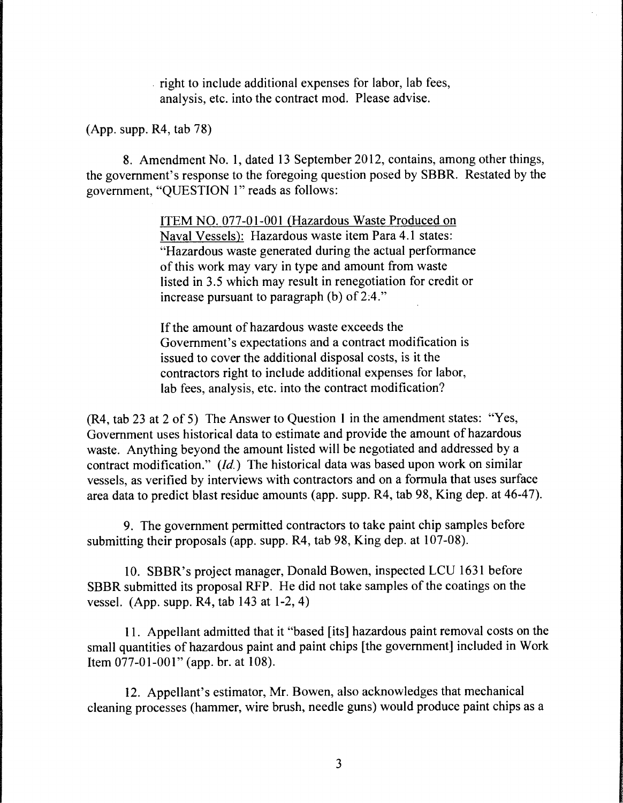right to include additional expenses for labor, lab fees, analysis, etc. into the contract mod. Please advise.

(App. supp. R4, tab 78)

8. Amendment No. 1, dated 13 September 2012, contains, among other things, the government's response to the foregoing question posed by SBBR. Restated by the government, "QUESTION 1" reads as follows:

> ITEM NO. 077-01-001 (Hazardous Waste Produced on Naval Vessels): Hazardous waste item Para 4.1 states: "Hazardous waste generated during the actual performance of this work may vary in type and amount from waste listed in 3.5 which may result in renegotiation for credit or increase pursuant to paragraph (b) of 2:4."

If the amount of hazardous waste exceeds the Government's expectations and a contract modification is issued to cover the additional disposal costs, is it the contractors right to include additional expenses for labor, lab fees, analysis, etc. into the contract modification?

(R4, tab 23 at 2 of 5) The Answer to Question 1 in the amendment states: "Yes, Government uses historical data to estimate and provide the amount of hazardous waste. Anything beyond the amount listed will be negotiated and addressed by a contract modification." *(Id.)* The historical data was based upon work on similar vessels, as verified by interviews with contractors and on a formula that uses surface area data to predict blast residue amounts (app. supp. R4, tab 98, King dep. at 46-47).

9. The government permitted contractors to take paint chip samples before submitting their proposals (app. supp. R4, tab 98, King dep. at 107-08).

10. SBBR's project manager, Donald Bowen, inspected LCU 1631 before SBBR submitted its proposal RFP. He did not take samples of the coatings on the vessel. (App. supp. R4, tab 143 at 1-2, 4)

11. Appellant admitted that it "based [its] hazardous paint removal costs on the small quantities of hazardous paint and paint chips [the government] included in Work Item 077-01-001" (app. br. at 108).

12. Appellant's estimator, Mr. Bowen, also acknowledges that mechanical cleaning processes (hammer, wire brush, needle guns) would produce paint chips as a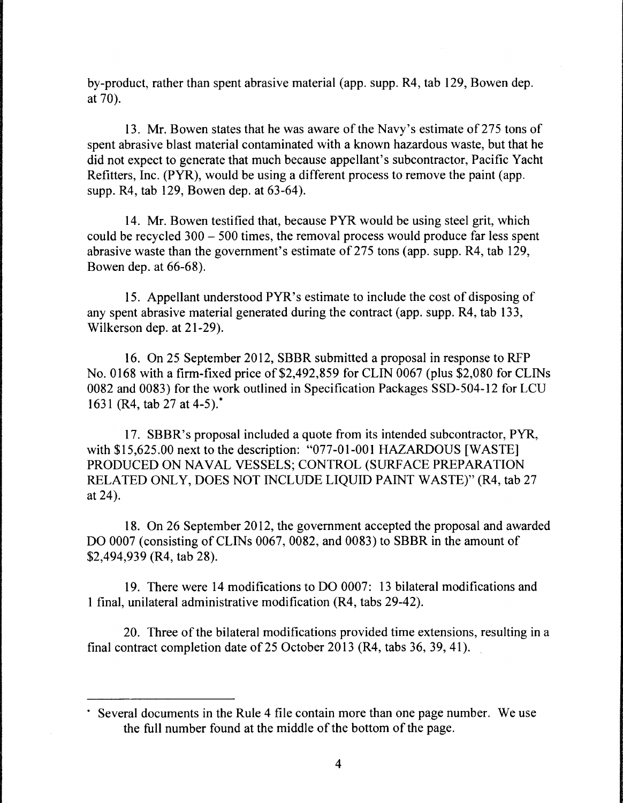by-product, rather than spent abrasive material (app. supp. R4, tab 129, Bowen dep. at 70).

13. Mr. Bowen states that he was aware of the Navy's estimate of 275 tons of spent abrasive blast material contaminated with a known hazardous waste, but that he did not expect to generate that much because appellant's subcontractor, Pacific Yacht Refitters, Inc. (PYR), would be using a different process to remove the paint (app. supp. R4, tab 129, Bowen dep. at 63-64).

14. Mr. Bowen testified that, because PYR would be using steel grit, which could be recycled 300 - 500 times, the removal process would produce far less spent abrasive waste than the government's estimate of 275 tons (app. supp. R4, tab 129, Bowen dep. at 66-68).

15. Appellant understood PYR's estimate to include the cost of disposing of any spent abrasive material generated during the contract (app. supp. R4, tab 133, Wilkerson dep. at 21-29).

16. On 25 September 2012, SBBR submitted a proposal in response to RFP No. 0168 with a firm-fixed price of \$2,492,859 for CLIN 0067 (plus \$2,080 for CLINs 0082 and 0083) for the work outlined in Specification Packages SSD-504-12 for LCU 1631 (R4, tab 27 at 4-5).\*

17. SBBR's proposal included a quote from its intended subcontractor, PYR, with \$15,625.00 next to the description: "077-01-001 HAZARDOUS [WASTE] PRODUCED ON NAVAL VESSELS; CONTROL (SURFACE PREPARATION RELATED ONLY, DOES NOT INCLUDE LIQUID PAINT WASTE)" (R4, tab 27 at 24).

18. On 26 September 2012, the government accepted the proposal and awarded DO 0007 (consisting of CLINs 0067, 0082, and 0083) to SBBR in the amount of \$2,494,939 (R4, tab 28).

19. There were 14 modifications to DO 0007: 13 bilateral modifications and 1 final, unilateral administrative modification (R4, tabs 29-42).

20. Three of the bilateral modifications provided time extensions, resulting in a final contract completion date of 25 October 2013 (R4, tabs 36, 39, 41).

<sup>•</sup> Several documents in the Rule 4 file contain more than one page number. We use the full number found at the middle of the bottom of the page.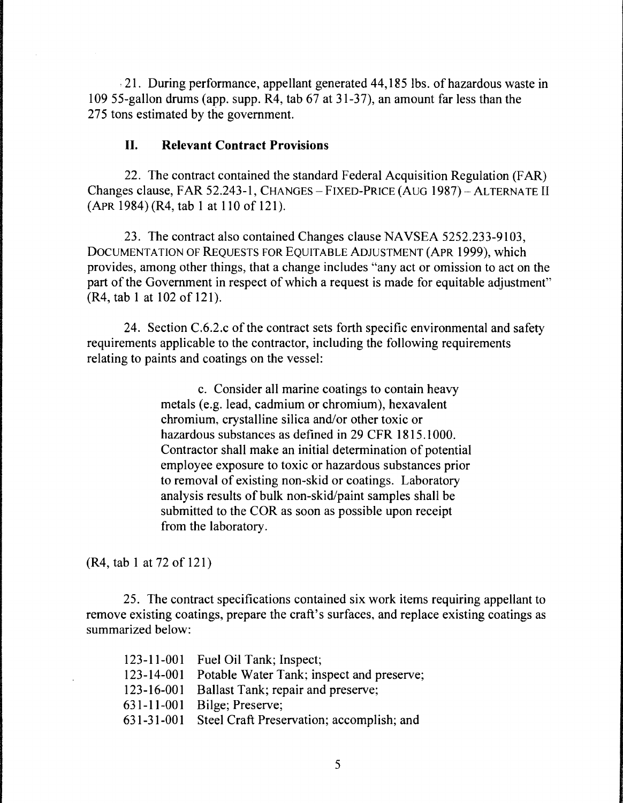, 21. During performance, appellant generated 44,185 lbs. of hazardous waste in 109 55-gallon drums (app. supp. R4, tab 67 at 31-37), an amount far less than the 275 tons estimated by the government.

# **II. Relevant Contract Provisions**

22. The contract contained the standard Federal Acquisition Regulation (FAR) Changes clause, FAR 52.243-1, CHANGES - FIXED-PRICE (AUG 1987) - ALTERNATE II (APR 1984) (R4, tab 1 at 110 of 121).

23. The contract also contained Changes clause NAVSEA 5252.233-9103, DOCUMENTATION OF REQUESTS FOR EQUITABLE ADJUSTMENT (APR 1999), which provides, among other things, that a change includes "any act or omission to act on the part of the Government in respect of which a request is made for equitable adjustment" (R4, tab 1 at 102 of 121).

24. Section C.6.2.c of the contract sets forth specific environmental and safety requirements applicable to the contractor, including the following requirements relating to paints and coatings on the vessel:

> c. Consider all marine coatings to contain heavy metals (e.g. lead, cadmium or chromium), hexavalent chromium, crystalline silica and/or other toxic or hazardous substances as defined in 29 CFR 1815.1000. Contractor shall make an initial determination of potential employee exposure to toxic or hazardous substances prior to removal of existing non-skid or coatings. Laboratory analysis results of bulk non-skid/paint samples shall be submitted to the COR as soon as possible upon receipt from the laboratory.

(R4, tab 1 at 72of121)

25. The contract specifications contained six work items requiring appellant to remove existing coatings, prepare the craft's surfaces, and replace existing coatings as summarized below:

| 123-11-001 Fuel Oil Tank; Inspect;                   |
|------------------------------------------------------|
| 123-14-001 Potable Water Tank; inspect and preserve; |
| 123-16-001 Ballast Tank; repair and preserve;        |
| 631-11-001 Bilge; Preserve;                          |
| 631-31-001 Steel Craft Preservation; accomplish; and |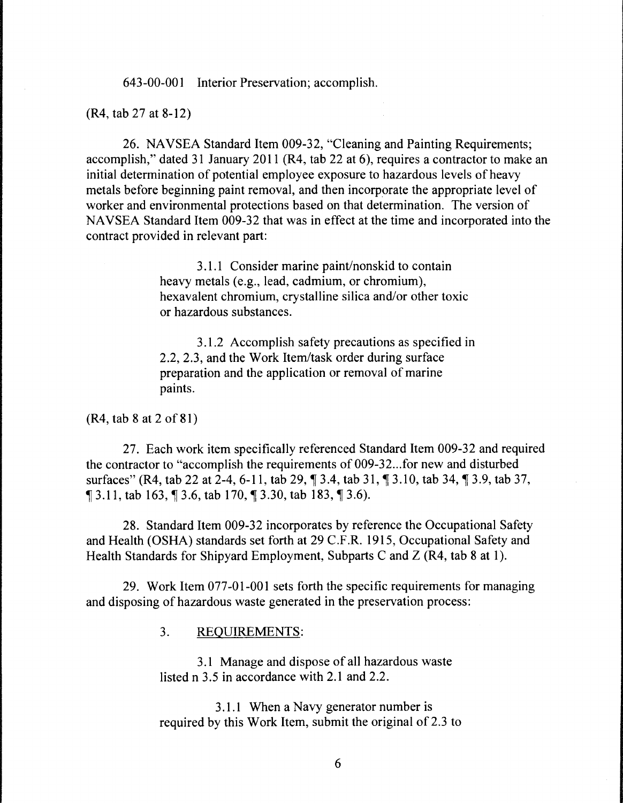643-00-001 Interior Preservation; accomplish.

(R4, tab 27 at 8-12)

26. NAVSEA Standard Item 009-32, "Cleaning and Painting Requirements; accomplish," dated 31 January 2011 (R4, tab 22 at 6), requires a contractor to make an initial determination of potential employee exposure to hazardous levels of heavy metals before beginning paint removal, and then incorporate the appropriate level of worker and environmental protections based on that determination. The version of NAVSEA Standard Item 009-32 that was in effect at the time and incorporated into the contract provided in relevant part:

> 3 .1.1 Consider marine paint/nonskid to contain heavy metals (e.g., lead, cadmium, or chromium), hexavalent chromium, crystalline silica and/or other toxic or hazardous substances.

3 .1.2 Accomplish safety precautions as specified in 2.2, 2.3, and the Work Item/task order during surface preparation and the application or removal of marine paints.

(R4, tab 8 at 2of81)

27. Each work item specifically referenced Standard Item 009-32 and required the contractor to "accomplish the requirements of 009-32 ... for new and disturbed surfaces" (R4, tab 22 at 2-4, 6-11, tab 29, 1, 3.4, tab 31, 1, 3.10, tab 34, 1, 3.9, tab 37,  $\text{\textsterling}3.11$ , tab 163,  $\text{\textsterling}3.6$ , tab 170,  $\text{\textsterling}3.30$ , tab 183,  $\text{\textsterling}3.6$ ).

28. Standard Item 009-32 incorporates by reference the Occupational Safety and Health (OSHA) standards set forth at 29 C.F.R. 1915, Occupational Safety and Health Standards for Shipyard Employment, Subparts C and Z (R4, tab 8 at 1).

29. Work Item 077-01-001 sets forth the specific requirements for managing and disposing of hazardous waste generated in the preservation process:

3. REQUIREMENTS:

3 .1 Manage and dispose of all hazardous waste listed n 3.5 in accordance with 2.1 and 2.2.

3.1.1 When a Navy generator number is required by this Work Item, submit the original of 2.3 to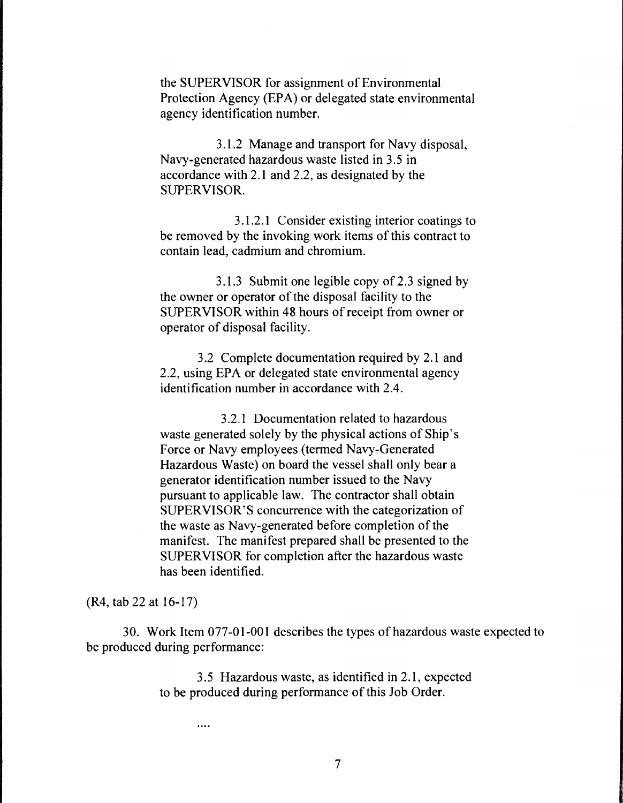the SUPERVISOR for assignment of Environmental Protection Agency (EPA) or delegated state environmental agency identification number.

3 .1.2 Manage and transport for Navy disposal, Navy-generated hazardous waste listed in 3.5 in accordance with 2.1 and 2.2, as designated by the SUPERVISOR.

3 .1.2 .1 Consider existing interior coatings to be removed by the invoking work items of this contract to contain lead, cadmium and chromium.

3.1.3 Submit one legible copy of 2.3 signed by the owner or operator of the disposal facility to the SUPERVISOR within 48 hours of receipt from owner or operator of disposal facility.

3.2 Complete documentation required by 2.1 and 2.2, using EPA or delegated state environmental agency identification number in accordance with 2.4.

3.2.1 Documentation related to hazardous waste generated solely by the physical actions of Ship's Force or Navy employees (termed Navy-Generated Hazardous Waste) on board the vessel shall only bear a generator identification number issued to the Navy pursuant to applicable law. The contractor shall obtain SUPERVISOR'S concurrence with the categorization of the waste as Navy-generated before completion of the manifest. The manifest prepared shall be presented to the SUPERVISOR for completion after the hazardous waste has been identified.

(R4, tab 22 at 16-17)

30. Work Item 077-01-001 describes the types of hazardous waste expected to be produced during performance:

> 3.5 Hazardous waste, as identified in 2.1, expected to be produced during performance of this Job Order.

> > $\cdots$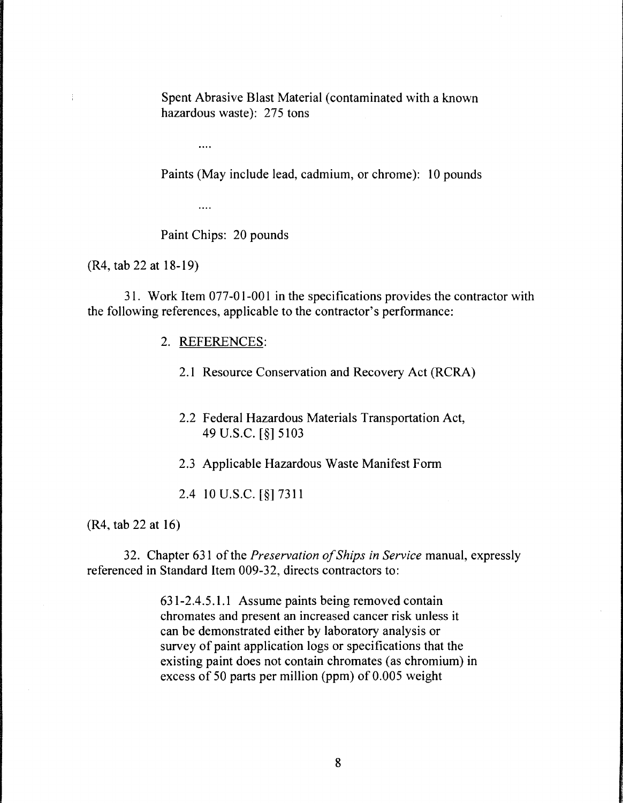Spent Abrasive Blast Material (contaminated with a known hazardous waste): 275 tons

 $\ddotsc$ 

Paints (May include lead, cadmium, or chrome): 10 pounds

 $\cdots$ 

Paint Chips: 20 pounds

(R4, tab 22 at 18-19)

 $\frac{1}{4}$ 

31. Work Item 077-01-001 in the specifications provides the contractor with the following references, applicable to the contractor's performance:

## 2. REFERENCES:

- 2.1 Resource Conservation and Recovery Act (RCRA)
- 2.2 Federal Hazardous Materials Transportation Act, 49 u.s.c. [§] 5103
- 2.3 Applicable Hazardous Waste Manifest Form

2.4 10 u.s.c. [§] 7311

(R4, tab 22 at 16)

32. Chapter 631 of the *Preservation of Ships in Service* manual, expressly referenced in Standard Item 009-32, directs contractors to:

> 631-2.4.5.1.1 Assume paints being removed contain chromates and present an increased cancer risk unless it can be demonstrated either by laboratory analysis or survey of paint application logs or specifications that the existing paint does not contain chromates (as chromium) in excess of 50 parts per million (ppm) of 0.005 weight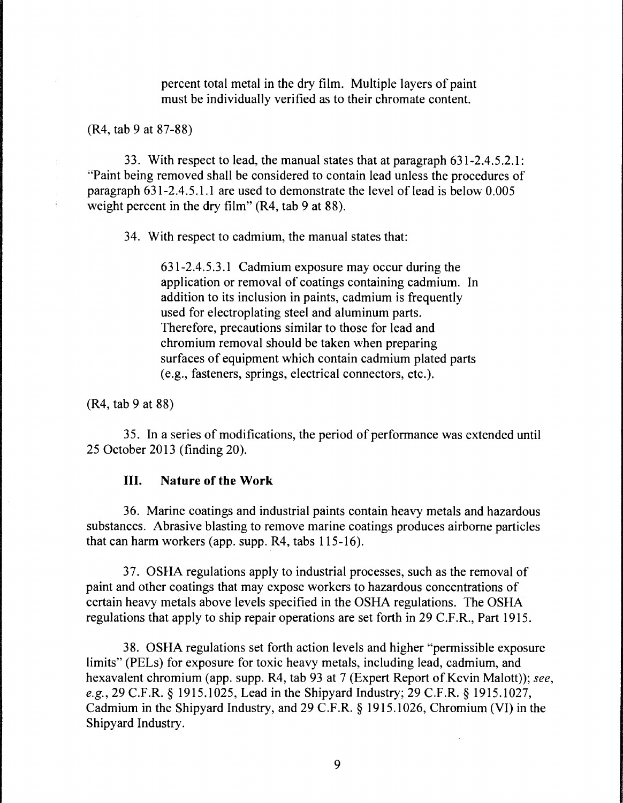percent total metal in the dry film. Multiple layers of paint must be individually verified as to their chromate content.

(R4, tab 9 at 87-88)

33. With respect to lead, the manual states that at paragraph 631-2.4.5.2.1: "Paint being removed shall be considered to contain lead unless the procedures of paragraph  $631-2.4.5.1.1$  are used to demonstrate the level of lead is below  $0.005$ weight percent in the dry film" (R4, tab 9 at 88).

34. With respect to cadmium, the manual states that:

631-2.4.5.3.1 Cadmium exposure may occur during the application or removal of coatings containing cadmium. In addition to its inclusion in paints, cadmium is frequently used for electroplating steel and aluminum parts. Therefore, precautions similar to those for lead and chromium removal should be taken when preparing surfaces of equipment which contain cadmium plated parts (e.g., fasteners, springs, electrical connectors, etc.).

(R4, tab 9 at 88)

3 5. In a series of modifications, the period of performance was extended until 25 October 2013 (finding 20).

# III. **Nature of the Work**

36. Marine coatings and industrial paints contain heavy metals and hazardous substances. Abrasive blasting to remove marine coatings produces airborne particles that can harm workers (app. supp. R4, tabs 115-16).

37. OSHA regulations apply to industrial processes, such as the removal of paint and other coatings that may expose workers to hazardous concentrations of certain heavy metals above levels specified in the OSHA regulations. The OSHA regulations that apply to ship repair operations are set forth in 29 C.F.R., Part 1915.

38. OSHA regulations set forth action levels and higher "permissible exposure limits" (PELs) for exposure for toxic heavy metals, including lead, cadmium, and hexavalent chromium (app. supp. R4, tab 93 at 7 (Expert Report of Kevin Malott)); *see, e.g.,* 29 C.F.R. § 1915.1025, Lead in the Shipyard Industry; 29 C.F.R. § 1915.1027, Cadmium in the Shipyard Industry, and 29 C.F .R. § 1915 .1026, Chromium (VI) in the Shipyard Industry.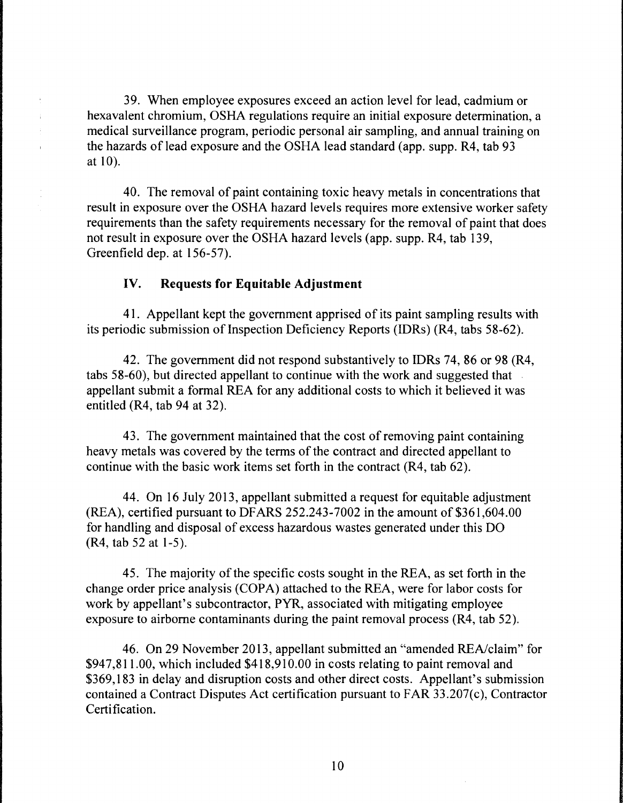39. When employee exposures exceed an action level for lead, cadmium or hexavalent chromium, OSHA regulations require an initial exposure determination, a medical surveillance program, periodic personal air sampling, and annual training on the hazards of lead exposure and the OSHA lead standard (app. supp. R4, tab 93 at 10).

40. The removal of paint containing toxic heavy metals in concentrations that result in exposure over the OSHA hazard levels requires more extensive worker safety requirements than the safety requirements necessary for the removal of paint that does not result in exposure over the OSHA hazard levels (app. supp. R4, tab 139, Greenfield dep. at 156-57).

# IV. **Requests for Equitable Adjustment**

÷.  $\mathbb{R}^2$  $\mathbf{r}$ 

> 41. Appellant kept the government apprised of its paint sampling results with its periodic submission of Inspection Deficiency Reports (IDRs) (R4, tabs 58-62).

> 42. The government did not respond substantively to IDRs 74, 86 or 98 (R4, tabs 58-60), but directed appellant to continue with the work and suggested that appellant submit a formal REA for any additional costs to which it believed it was entitled (R4, tab 94 at 32).

43. The government maintained that the cost of removing paint containing heavy metals was covered by the terms of the contract and directed appellant to continue with the basic work items set forth in the contract (R4, tab 62).

44. On 16 July 2013, appellant submitted a request for equitable adjustment (REA), certified pursuant to DF ARS 252.243-7002 in the amount of \$361,604.00 for handling and disposal of excess hazardous wastes generated under this DO (R4, tab 52 at 1-5).

45. The majority of the specific costs sought in the REA, as set forth in the change order price analysis (COPA) attached to the REA, were for labor costs for work by appellant's subcontractor, PYR, associated with mitigating employee exposure to airborne contaminants during the paint removal process (R4, tab 52).

46. On 29 November 2013, appellant submitted an "amended REA/claim" for \$947,811.00, which included \$418,910.00 in costs relating to paint removal and \$369,183 in delay and disruption costs and other direct costs. Appellant's submission contained a Contract Disputes Act certification pursuant to FAR 33.207(c), Contractor Certification.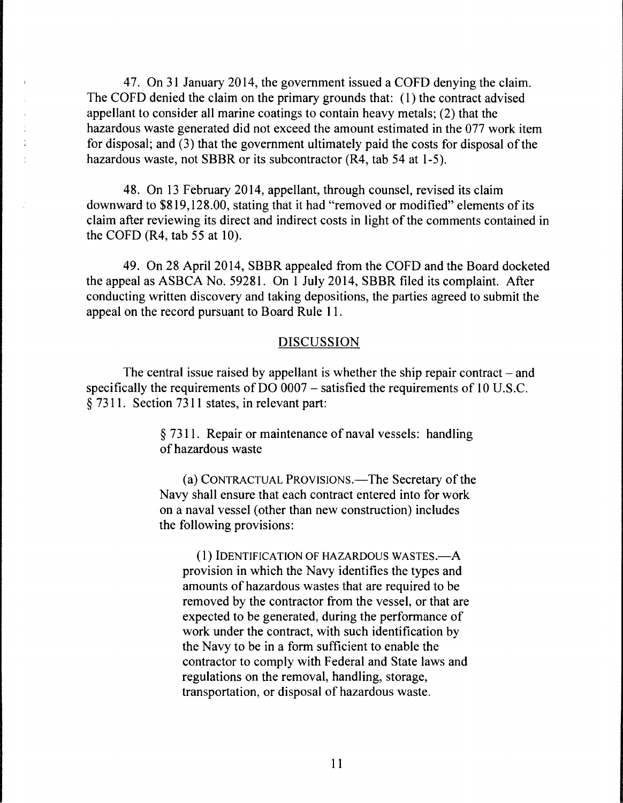47. On 31 January 2014, the government issued a COFD denying the claim. The COFD denied the claim on the primary grounds that: ( 1) the contract advised appellant to consider all marine coatings to contain heavy metals; (2) that the hazardous waste generated did not exceed the amount estimated in the 077 work item for disposal; and (3) that the government ultimately paid the costs for disposal of the hazardous waste, not SBBR or its subcontractor (R4, tab 54 at 1-5).

48. On 13 February 2014, appellant, through counsel, revised its claim downward to \$819,128.00, stating that it had "removed or modified" elements of its claim after reviewing its direct and indirect costs in light of the comments contained in the COFD (R4, tab 55 at 10).

49. On 28 April 2014, SBBR appealed from the COFD and the Board docketed the appeal as ASBCA No. 59281. On 1 July 2014, SBBR filed its complaint. After conducting written discovery and taking depositions, the parties agreed to submit the appeal on the record pursuant to Board Rule 11.

#### DISCUSSION

The central issue raised by appellant is whether the ship repair contract  $-$  and specifically the requirements of DO 0007 - satisfied the requirements of 10 U.S.C. § 7311. Section 7311 states, in relevant part:

> § 7311. Repair or maintenance of naval vessels: handling of hazardous waste

> (a) CONTRACTUAL PROVISIONS.—The Secretary of the Navy shall ensure that each contract entered into for work on a naval vessel (other than new construction) includes the following provisions:

 $(1)$  IDENTIFICATION OF HAZARDOUS WASTES.— $A$ provision in which the Navy identifies the types and amounts of hazardous wastes that are required to be removed by the contractor from the vessel, or that are expected to be generated, during the performance of work under the contract, with such identification by the Navy to be in a form sufficient to enable the contractor to comply with Federal and State laws and regulations on the removal, handling, storage, transportation, or disposal of hazardous waste.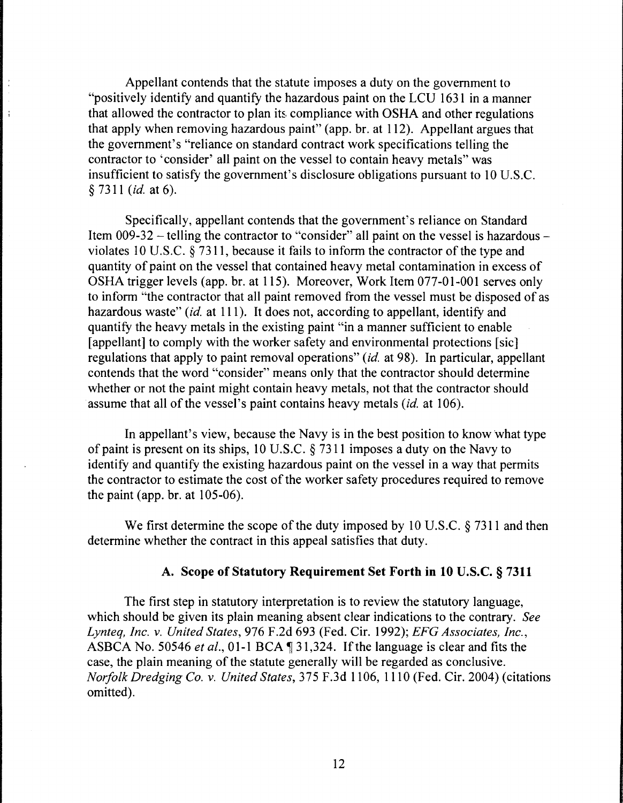Appellant contends that the statute imposes a duty on the government to "positively identify and quantify the hazardous paint on the LCU 1631 in a manner that allowed the contractor to plan its compliance with OSHA and other regulations that apply when removing hazardous paint" (app. br. at 112). Appellant argues that the government's "reliance on standard contract work specifications telling the contractor to 'consider' all paint on the vessel to contain heavy metals" was insufficient to satisfy the government's disclosure obligations pursuant to 10 U.S.C. § 7311 *(id.* at 6).

 $\frac{1}{2}$ 

 $\frac{1}{1}$ 

Specifically, appellant contends that the government's reliance on Standard Item 009-32 - telling the contractor to "consider" all paint on the vessel is hazardous violates 10 U.S.C. § 7311, because it fails to inform the contractor of the type and quantity of paint on the vessel that contained heavy metal contamination in excess of OSHA trigger levels (app. br. at 115). Moreover, Work Item 077-01-001 serves only to inform "the contractor that all paint removed from the vessel must be disposed of as hazardous waste" *(id.* at 111). It does not, according to appellant, identify and quantify the heavy metals in the existing paint "in a manner sufficient to enable [appellant] to comply with the worker safety and environmental protections [sic] regulations that apply to paint removal operations" *(id.* at 98). In particular, appellant contends that the word "consider" means only that the contractor should determine whether or not the paint might contain heavy metals, not that the contractor should assume that all of the vessel's paint contains heavy metals *(id.* at 106).

In appellant's view, because the Navy is in the best position to know what type of paint is present on its ships, 10 U.S.C. § 7311 imposes a duty on the Navy to identify and quantify the existing hazardous paint on the vessel in a way that permits the contractor to estimate the cost of the worker safety procedures required to remove the paint (app. br. at  $105-06$ ).

We first determine the scope of the duty imposed by 10 U.S.C. § 7311 and then determine whether the contract in this appeal satisfies that duty.

# A. Scope of Statutory Requirement Set Forth in 10 U.S.C. § 7311

The first step in statutory interpretation is to review the statutory language, which should be given its plain meaning absent clear indications to the contrary. *See Lynteq, Inc. v. United States,* 976 F.2d 693 (Fed. Cir. 1992); *EFG Associates, Inc.,*  ASBCA No. 50546 *et al.*, 01-1 BCA ¶ 31,324. If the language is clear and fits the case, the plain meaning of the statute generally will be regarded as conclusive. *Norfolk Dredging Co. v. United States,* 375 F.3d 1106, 1110 (Fed. Cir. 2004) (citations omitted).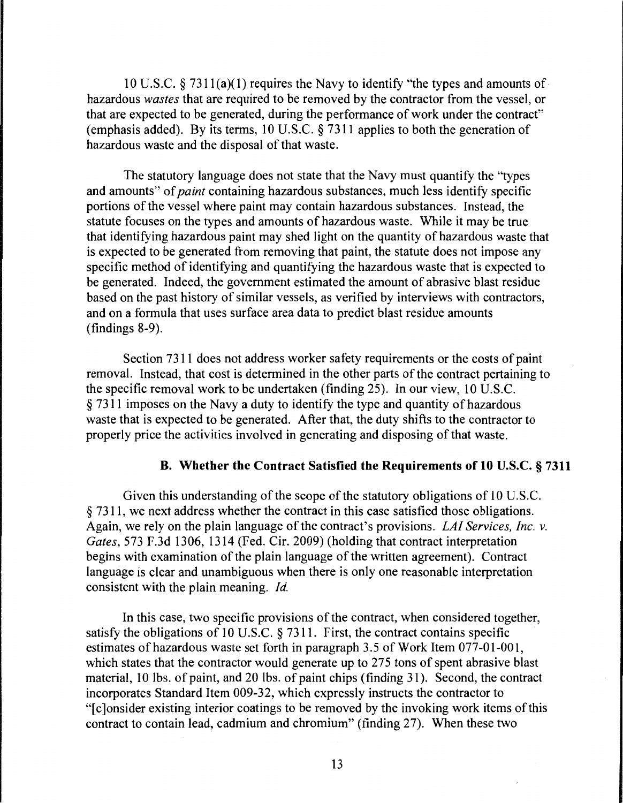10 U.S.C. § 731 l(a)(l) requires the Navy to identify "the types and amounts of hazardous *wastes* that are required to be removed by the contractor from the vessel, or that are expected to be generated, during the performance of work under the contract" (emphasis added). By its terms, 10 U.S.C. § 7311 applies to both the generation of hazardous waste and the disposal of that waste.

The statutory language does not state that the Navy must quantify the "types and amounts" of *paint* containing hazardous substances, much less identify specific portions of the vessel where paint may contain hazardous substances. Instead, the statute focuses on the types and amounts of hazardous waste. While it may be true that identifying hazardous paint may shed light on the quantity of hazardous waste that is expected to be generated from removing that paint, the statute does not impose any specific method of identifying and quantifying the hazardous waste that is expected to be generated. Indeed, the government estimated the amount of abrasive blast residue based on the past history of similar vessels, as verified by interviews with contractors, and on a formula that uses surface area data to predict blast residue amounts (findings 8-9).

Section 73 11 does not address worker safety requirements or the costs of paint removal. Instead, that cost is determined in the other parts of the contract pertaining to the specific removal work to be undertaken (finding 25). In our view, 10 U.S.C. § 7311 imposes on the Navy a duty to identify the type and quantity of hazardous waste that is expected to be generated. After that, the duty shifts to the contractor to properly price the activities involved in generating and disposing of that waste.

## B. Whether the Contract Satisfied the Requirements of 10 U.S.C. § 7311

Given this understanding of the scope of the statutory obligations of 10 U.S.C. § 7311, we next address whether the contract in this case satisfied those obligations. Again, we rely on the plain language of the contract's provisions. *LAI Services, Inc. v. Gates,* 573 F .3d 1306, 1314 (Fed. Cir. 2009) (holding that contract interpretation begins with examination of the plain language of the written agreement). Contract language is clear and unambiguous when there is only one reasonable interpretation consistent with the plain meaning. *Id.* 

In this case, two specific provisions of the contract, when considered together, satisfy the obligations of 10 U.S.C. § 7311. First, the contract contains specific estimates of hazardous waste set forth in paragraph 3. 5 of Work Item 077-01-001, which states that the contractor would generate up to 275 tons of spent abrasive blast material, 10 lbs. of paint, and 20 lbs. of paint chips (finding 31 ). Second, the contract incorporates Standard Item 009-32, which expressly instructs the contractor to "[c]onsider existing interior coatings to be removed by the invoking work items of this contract to contain lead, cadmium and chromium" (finding 27). When these two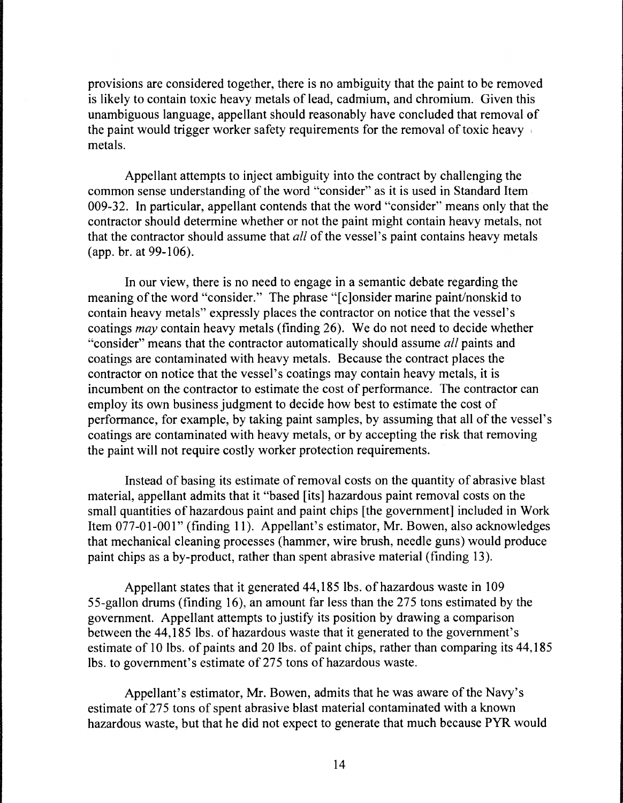provisions are considered together, there is no ambiguity that the paint to be removed is likely to contain toxic heavy metals of lead, cadmium, and chromium. Given this unambiguous language, appellant should reasonably have concluded that removal of the paint would trigger worker safety requirements for the removal of toxic heavy metals.

Appellant attempts to inject ambiguity into the contract by challenging the common sense understanding of the word "consider" as it is used in Standard Item 009-32. In particular, appellant contends that the word "consider" means only that the contractor should determine whether or not the paint might contain heavy metals, not that the contractor should assume that *all* of the vessel's paint contains heavy metals (app. hr. at 99-106).

In our view, there is no need to engage in a semantic debate regarding the meaning of the word "consider." The phrase "[c]onsider marine paint/nonskid to contain heavy metals" expressly places the contractor on notice that the vessel's coatings *may* contain heavy metals (finding 26). We do not need to decide whether "consider" means that the contractor automatically should assume *all* paints and coatings are contaminated with heavy metals. Because the contract places the contractor on notice that the vessel's coatings may contain heavy metals, it is incumbent on the contractor to estimate the cost of performance. The contractor can employ its own business judgment to decide how best to estimate the cost of performance, for example, by taking paint samples, by assuming that all of the vessel's coatings are contaminated with heavy metals, or by accepting the risk that removing the paint will not require costly worker protection requirements.

Instead of basing its estimate of removal costs on the quantity of abrasive blast material, appellant admits that it "based [its] hazardous paint removal costs on the small quantities of hazardous paint and paint chips [the government] included in Work Item 077-01-001" (finding 11). Appellant's estimator, Mr. Bowen, also acknowledges that mechanical cleaning processes (hammer, wire brush, needle guns) would produce paint chips as a by-product, rather than spent abrasive material (finding 13).

Appellant states that it generated 44, 185 lbs. of hazardous waste in 109 55-gallon drums (finding 16), an amount far less than the 275 tons estimated by the government. Appellant attempts to justify its position by drawing a comparison between the 44,185 lbs. of hazardous waste that it generated to the government's estimate of 10 lbs. of paints and 20 lbs. of paint chips, rather than comparing its 44, 185 lbs. to government's estimate of 275 tons of hazardous waste.

Appellant's estimator, Mr. Bowen, admits that he was aware of the Navy's estimate of 275 tons of spent abrasive blast material contaminated with a known hazardous waste, but that he did not expect to generate that much because PYR would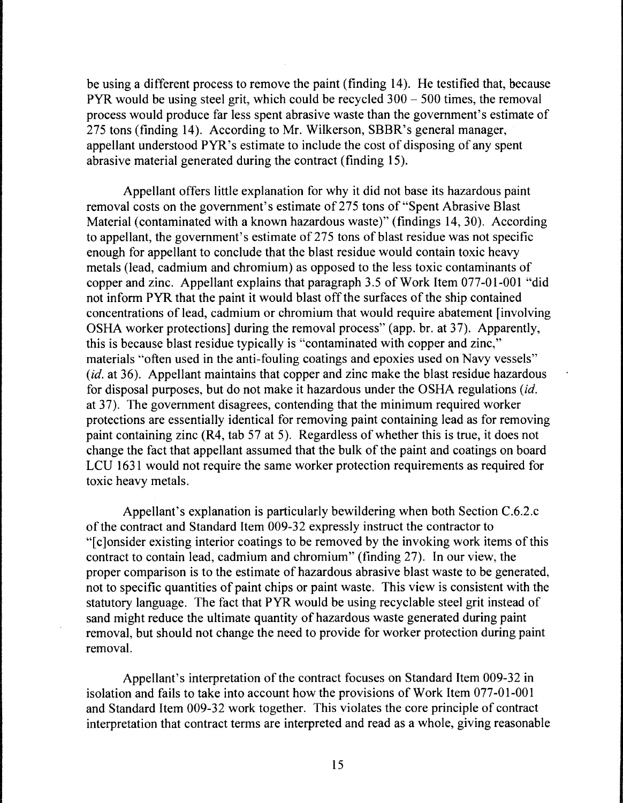be using a different process to remove the paint (finding 14). He testified that, because PYR would be using steel grit, which could be recycled 300 - 500 times, the removal process would produce far less spent abrasive waste than the government's estimate of 275 tons (finding 14). According to Mr. Wilkerson, SBBR's general manager, appellant understood PYR's estimate to include the cost of disposing of any spent abrasive material generated during the contract (finding 15).

Appellant offers little explanation for why it did not base its hazardous paint removal costs on the government's estimate of 275 tons of"Spent Abrasive Blast Material (contaminated with a known hazardous waste)" (findings 14, 30). According to appellant, the government's estimate of 275 tons of blast residue was not specific enough for appellant to conclude that the blast residue would contain toxic heavy metals (lead, cadmium and chromium) as opposed to the less toxic contaminants of copper and zinc. Appellant explains that paragraph 3 .5 of Work Item 077-01-001 "did not inform PYR that the paint it would blast off the surfaces of the ship contained concentrations of lead, cadmium or chromium that would require abatement [involving OSHA worker protections] during the removal process" (app. br. at 37). Apparently, this is because blast residue typically is "contaminated with copper and zinc," materials "often used in the anti-fouling coatings and epoxies used on Navy vessels" *(id.* at 36). Appellant maintains that copper and zinc make the blast residue hazardous for disposal purposes, but do not make it hazardous under the OSHA regulations *(id.*  at 37). The government disagrees, contending that the minimum required worker protections are essentially identical for removing paint containing lead as for removing paint containing zinc (R4, tab 57 at 5). Regardless of whether this is true, it does not change the fact that appellant assumed that the bulk of the paint and coatings on board LCU 1631 would not require the same worker protection requirements as required for toxic heavy metals.

Appellant's explanation is particularly bewildering when both Section C.6.2.c of the contract and Standard Item 009-32 expressly instruct the contractor to "[c]onsider existing interior coatings to be removed by the invoking work items of this contract to contain lead, cadmium and chromium" (finding 27). In our view, the proper comparison is to the estimate of hazardous abrasive blast waste to be generated, not to specific quantities of paint chips or paint waste. This view is consistent with the statutory language. The fact that PYR would be using recyclable steel grit instead of sand might reduce the ultimate quantity of hazardous waste generated during paint removal, but should not change the need to provide for worker protection during paint removal.

Appellant's interpretation of the contract focuses on Standard Item 009-32 in isolation and fails to take into account how the provisions of Work Item 077-01-001 and Standard Item 009-32 work together. This violates the core principle of contract interpretation that contract terms are interpreted and read as a whole, giving reasonable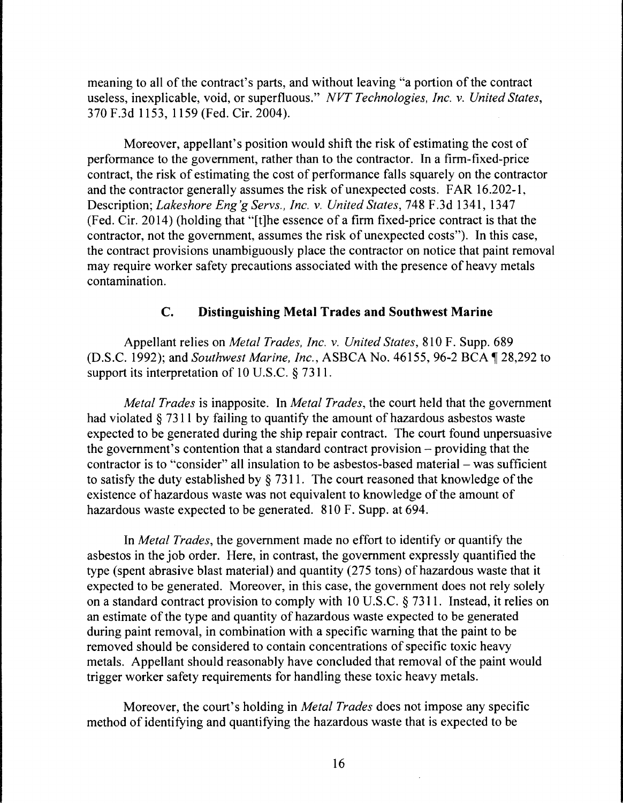meaning to all of the contract's parts, and without leaving "a portion of the contract useless, inexplicable, void, or superfluous." *NVT Technologies, Inc. v. United States,*  370 F.3d 1153, 1159 (Fed. Cir. 2004).

Moreover, appellant's position would shift the risk of estimating the cost of performance to the government, rather than to the contractor. In a firm-fixed-price contract, the risk of estimating the cost of performance falls squarely on the contractor and the contractor generally assumes the risk of unexpected costs. FAR 16.202-1, Description; *Lakeshore Eng'g Servs., Inc. v. United States,* 748 F.3d 1341, 1347 (Fed. Cir. 2014) (holding that "[t]he essence of a firm fixed-price contract is that the contractor, not the government, assumes the risk of unexpected costs"). In this case, the contract provisions unambiguously place the contractor on notice that paint removal may require worker safety precautions associated with the presence of heavy metals contamination.

## **C. Distinguishing Metal Trades and Southwest Marine**

Appellant relies on *Metal Trades, Inc. v. United States,* 810 F. Supp. 689 (D.S.C. 1992); and *Southwest Marine, Inc.*, ASBCA No. 46155, 96-2 BCA 128, 292 to support its interpretation of 10 U.S.C.  $\S 7311$ .

*Metal Trades* is inapposite. In *Metal Trades,* the court held that the government had violated§ 7311 by failing to quantify the amount of hazardous asbestos waste expected to be generated during the ship repair contract. The court found unpersuasive the government's contention that a standard contract provision - providing that the contractor is to "consider" all insulation to be asbestos-based material – was sufficient to satisfy the duty established by § 7311. The court reasoned that knowledge of the existence of hazardous waste was not equivalent to knowledge of the amount of hazardous waste expected to be generated. 810 F. Supp. at 694.

In *Metal Trades,* the government made no effort to identify or quantify the asbestos in the job order. Here, in contrast, the government expressly quantified the type (spent abrasive blast material) and quantity (275 tons) of hazardous waste that it expected to be generated. Moreover, in this case, the government does not rely solely on a standard contract provision to comply with 10 U.S.C. § 7311. Instead, it relies on an estimate of the type and quantity of hazardous waste expected to be generated during paint removal, in combination with a specific warning that the paint to be removed should be considered to contain concentrations of specific toxic heavy metals. Appellant should reasonably have concluded that removal of the paint would trigger worker safety requirements for handling these toxic heavy metals.

Moreover, the court's holding in *Metal Trades* does not impose any specific method of identifying and quantifying the hazardous waste that is expected to be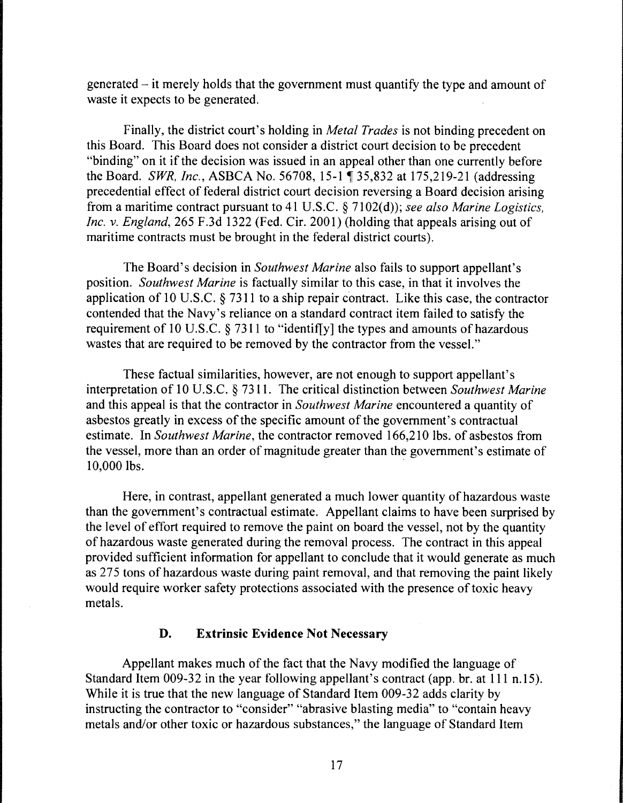$generated - it merely holds that the government must quantify the type and amount of$ waste it expects to be generated.

Finally, the district court's holding in *Metal Trades* is not binding precedent on this Board. This Board does not consider a district court decision to be precedent "binding" on it if the decision was issued in an appeal other than one currently before the Board. *SWR, Inc., ASBCA No.* 56708, 15-1 ¶ 35,832 at 175,219-21 (addressing precedential effect of federal district court decision reversing a Board decision arising from a maritime contract pursuant to 41 U.S.C. § 7102(d)); *see also Marine Logistics*, *Inc.* v. *England,* 265 F.3d 1322 (Fed. Cir. 2001) (holding that appeals arising out of maritime contracts must be brought in the federal district courts).

The Board's decision in *Southwest Marine* also fails to support appellant's position. *Southwest Marine* is factually similar to this case, in that it involves the application of 10 U.S.C.  $\S$  7311 to a ship repair contract. Like this case, the contractor contended that the Navy's reliance on a standard contract item failed to satisfy the requirement of 10 U.S.C. § 7311 to "identifly] the types and amounts of hazardous wastes that are required to be removed by the contractor from the vessel."

These factual similarities, however, are not enough to support appellant's interpretation of 10 U.S.C. § 7311. The critical distinction between *Southwest Marine*  and this appeal is that the contractor in *Southwest Marine* encountered a quantity of asbestos greatly in excess of the specific amount of the government's contractual estimate. In *Southwest Marine,* the contractor removed 166,210 lbs. of asbestos from the vessel, more than an order of magnitude greater than the government's estimate of 10,000 lbs.

Here, in contrast, appellant generated a much lower quantity of hazardous waste than the government's contractual estimate. Appellant claims to have been surprised by the level of effort required to remove the paint on board the vessel, not by the quantity of hazardous waste generated during the removal process. The contract in this appeal provided sufficient information for appellant to conclude that it would generate as much as 275 tons of hazardous waste during paint removal, and that removing the paint likely would require worker safety protections associated with the presence of toxic heavy metals.

## D. Extrinsic Evidence Not Necessary

Appellant makes much of the fact that the Navy modified the language of Standard Item 009-32 in the year following appellant's contract (app. br. at 111 n.15). While it is true that the new language of Standard Item 009-32 adds clarity by instructing the contractor to "consider" "abrasive blasting media" to "contain heavy metals and/or other toxic or hazardous substances," the language of Standard Item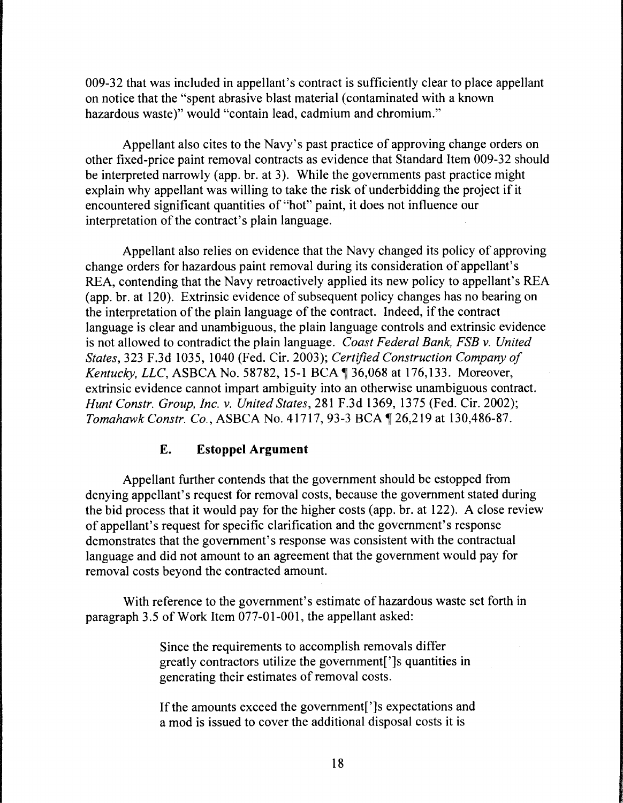009-32 that was included in appellant's contract is sufficiently clear to place appellant on notice that the "spent abrasive blast material (contaminated with a known hazardous waste)" would "contain lead, cadmium and chromium."

Appellant also cites to the Navy's past practice of approving change orders on other fixed-price paint removal contracts as evidence that Standard Item 009-32 should be interpreted narrowly (app. br. at 3). While the governments past practice might explain why appellant was willing to take the risk of underbidding the project if it encountered significant quantities of "hot" paint, it does not influence our interpretation of the contract's plain language.

Appellant also relies on evidence that the Navy changed its policy of approving change orders for hazardous paint removal during its consideration of appellant's REA, contending that the Navy retroactively applied its new policy to appellant's REA (app. br. at 120). Extrinsic evidence of subsequent policy changes has no bearing on the interpretation of the plain language of the contract. Indeed, if the contract language is clear and unambiguous, the plain language controls and extrinsic evidence is not allowed to contradict the plain language. *Coast Federal Bank, FSB* v. *United States,* 323 F.3d 1035, 1040 (Fed. Cir. 2003); *Certified Construction Company of Kentucky, LLC, ASBCA No.* 58782, 15-1 BCA  $\text{\textdegree}$  36,068 at 176,133. Moreover, extrinsic evidence cannot impart ambiguity into an otherwise unambiguous contract. *Hunt Constr. Group, Inc.* v. *United States,* 281F.3d1369, 1375 (Fed. Cir. 2002); *Tomahawk Constr. Co., ASBCA No. 41717, 93-3 BCA*  $\P$  26,219 at 130,486-87.

# **E. Estoppel Argument**

Appellant further contends that the government should be estopped from denying appellant's request for removal costs, because the government stated during the bid process that it would pay for the higher costs (app. br. at 122). A close review of appellant's request for specific clarification and the government's response demonstrates that the government's response was consistent with the contractual language and did not amount to an agreement that the government would pay for removal costs beyond the contracted amount.

With reference to the government's estimate of hazardous waste set forth in paragraph 3.5 of Work Item 077-01-001, the appellant asked:

> Since the requirements to accomplish removals differ greatly contractors utilize the government[']s quantities in generating their estimates of removal costs.

If the amounts exceed the government[']s expectations and a mod is issued to cover the additional disposal costs it is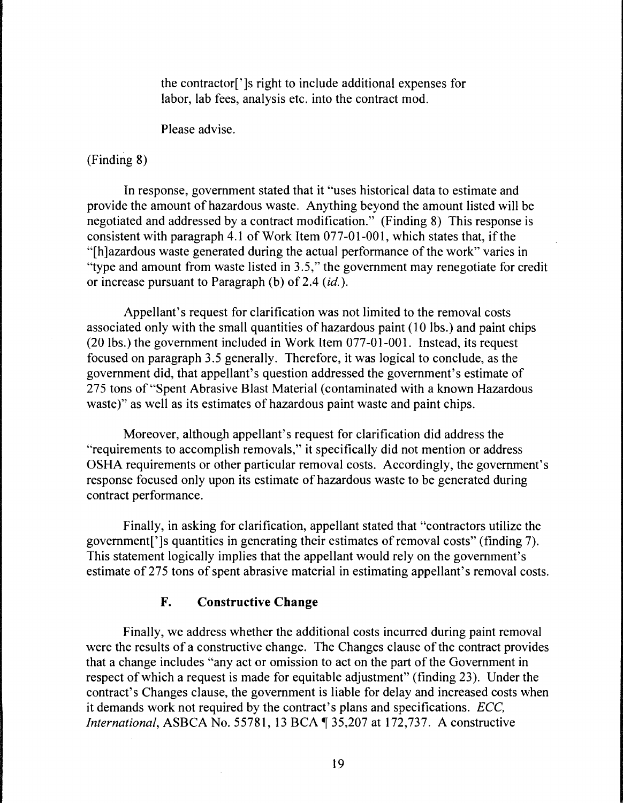the contractor[']s right to include additional expenses for labor, lab fees, analysis etc. into the contract mod.

Please advise.

# (Finding 8)

In response, government stated that it "uses historical data to estimate and provide the amount of hazardous waste. Anything beyond the amount listed will be negotiated and addressed by a contract modification." (Finding 8) This response is consistent with paragraph 4.1 of Work Item  $077-01-001$ , which states that, if the "[h]azardous waste generated during the actual performance of the work" varies in "type and amount from waste listed in 3.5," the government may renegotiate for credit or increase pursuant to Paragraph (b) of 2.4 *(id.).* 

Appellant's request for clarification was not limited to the removal costs associated only with the small quantities of hazardous paint (10 lbs.) and paint chips (20 lbs.) the government included in Work Item 077-01-001. Instead, its request focused on paragraph 3.5 generally. Therefore, it was logical to conclude, as the government did, that appellant's question addressed the government's estimate of 275 tons of "Spent Abrasive Blast Material (contaminated with a known Hazardous waste)" as well as its estimates of hazardous paint waste and paint chips.

Moreover, although appellant's request for clarification did address the "requirements to accomplish removals," it specifically did not mention or address OSHA requirements or other particular removal costs. Accordingly, the government's response focused only upon its estimate of hazardous waste to be generated during contract performance.

Finally, in asking for clarification, appellant stated that "contractors utilize the government[']s quantities in generating their estimates of removal costs" (finding 7). This statement logically implies that the appellant would rely on the government's estimate of 275 tons of spent abrasive material in estimating appellant's removal costs.

# **F. Constructive Change**

Finally, we address whether the additional costs incurred during paint removal were the results of a constructive change. The Changes clause of the contract provides that a change includes "any act or omission to act on the part of the Government in respect of which a request is made for equitable adjustment" (finding 23). Under the contract's Changes clause, the government is liable for delay and increased costs when it demands work not required by the contract's plans and specifications. *ECC, International, ASBCA No.* 55781, 13 BCA 135,207 at 172,737. A constructive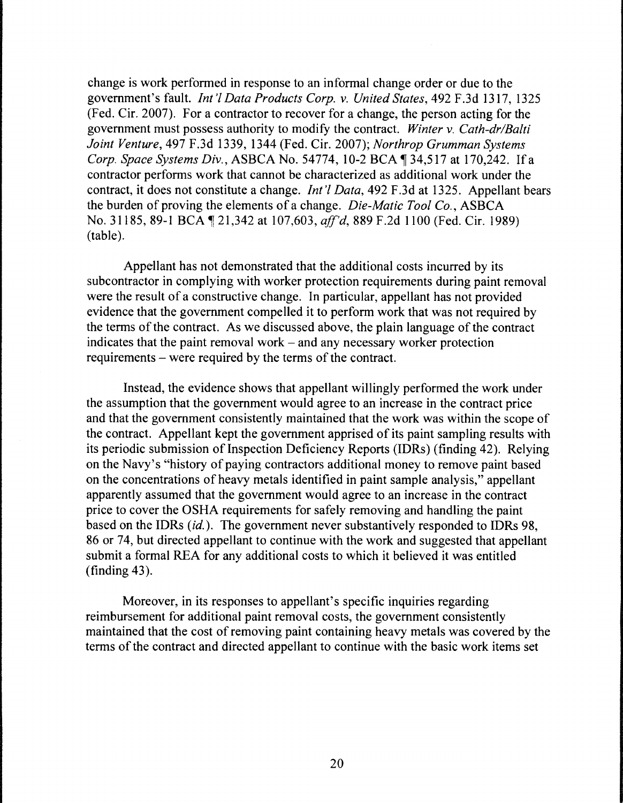change is work performed in response to an informal change order or due to the government's fault. *Int'! Data Products Corp. v. United States,* 492 F.3d 1317, 1325 (Fed. Cir. 2007). For a contractor to recover for a change, the person acting for the government must possess authority to modify the contract. *Winter v. Cath-dr/Balti Joint Venture,* 497 F.3d 1339, 1344 (Fed. Cir. 2007); *Northrop Grumman Systems Corp. Space Systems Div., ASBCA No.* 54774, 10-2 BCA ¶ 34,517 at 170,242. If a contractor performs work that cannot be characterized as additional work under the contract, it does not constitute a change. *Int'! Data,* 492 F.3d at 1325. Appellant bears the burden of proving the elements of a change. *Die-Matic Tool Co.,* ASBCA No. 31185, 89-1 BCA, 121,342 at 107,603, *aff'd*, 889 F.2d 1100 (Fed. Cir. 1989) (table).

Appellant has not demonstrated that the additional costs incurred by its subcontractor in complying with worker protection requirements during paint removal were the result of a constructive change. In particular, appellant has not provided evidence that the government compelled it to perform work that was not required by the terms of the contract. As we discussed above, the plain language of the contract indicates that the paint removal work  $-$  and any necessary worker protection requirements – were required by the terms of the contract.

Instead, the evidence shows that appellant willingly performed the work under the assumption that the government would agree to an increase in the contract price and that the government consistently maintained that the work was within the scope of the contract. Appellant kept the government apprised of its paint sampling results with its periodic submission of Inspection Deficiency Reports (IDRs) (finding 42). Relying on the Navy's "history of paying contractors additional money to remove paint based on the concentrations of heavy metals identified in paint sample analysis," appellant apparently assumed that the government would agree to an increase in the contract price to cover the OSHA requirements for safely removing and handling the paint based on the IDRs (id.). The government never substantively responded to IDRs 98, 86 or 74, but directed appellant to continue with the work and suggested that appellant submit a formal REA for any additional costs to which it believed it was entitled (finding 43).

Moreover, in its responses to appellant's specific inquiries regarding reimbursement for additional paint removal costs, the government consistently maintained that the cost of removing paint containing heavy metals was covered by the terms of the contract and directed appellant to continue with the basic work items set